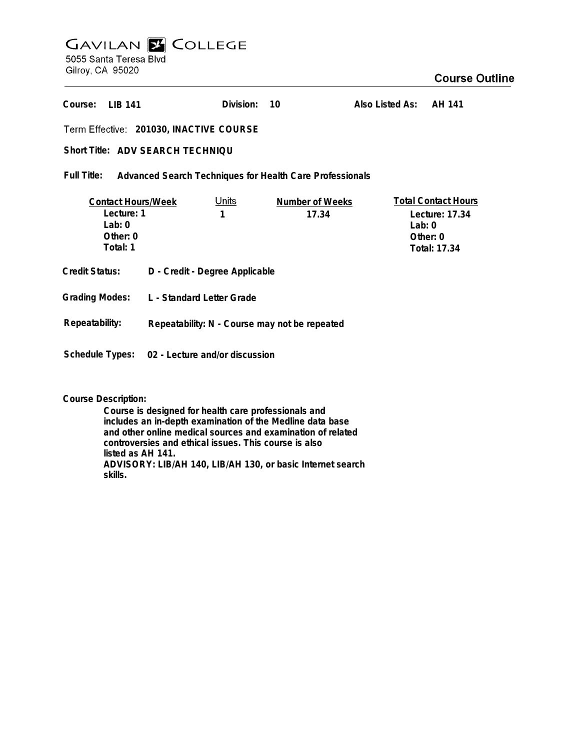# **GAVILAN E COLLEGE** 5055 Santa Teresa Blvd Gilroy, CA 95020

## **Course Outline**

**Also Listed As: AH 141 LIB 141 Course: Division: 10201030, INACTIVE COURSE** Short Title: ADV SEARCH TECHNIQU **Full Title: Advanced Search Techniques for Health Care Professionals Total Contact Hours Contact Hours/Week** Units **Number of Weeks Lecture: 1 1 17.34 Lecture: 17.34 Lab: 0 Lab: 0 Other: 0 Other: 0 Total: 1 Total: 17.34 Credit Status: D - Credit - Degree Applicable Grading Modes: L - Standard Letter Grade Repeatability: Repeatability: N - Course may not be repeated**

**Schedule Types: 02 - Lecture and/or discussion**

**Course Description:**

**Course is designed for health care professionals and includes an in-depth examination of the Medline data base and other online medical sources and examination of related controversies and ethical issues. This course is also listed as AH 141. ADVISORY: LIB/AH 140, LIB/AH 130, or basic Internet search skills.**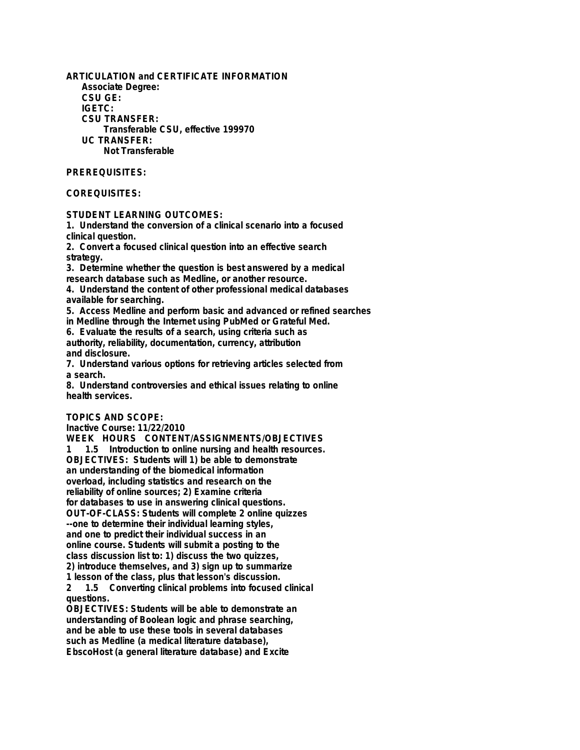**ARTICULATION and CERTIFICATE INFORMATION Associate Degree: CSU GE: IGETC: CSU TRANSFER: Transferable CSU, effective 199970 UC TRANSFER: Not Transferable**

#### **PREREQUISITES:**

### **COREQUISITES:**

**STUDENT LEARNING OUTCOMES:**

**1. Understand the conversion of a clinical scenario into a focused clinical question.**

**2. Convert a focused clinical question into an effective search strategy.**

**3. Determine whether the question is best answered by a medical research database such as Medline, or another resource.**

**4. Understand the content of other professional medical databases available for searching.**

**5. Access Medline and perform basic and advanced or refined searches in Medline through the Internet using PubMed or Grateful Med.**

**6. Evaluate the results of a search, using criteria such as authority, reliability, documentation, currency, attribution and disclosure.**

**7. Understand various options for retrieving articles selected from a search.**

**8. Understand controversies and ethical issues relating to online health services.**

### **TOPICS AND SCOPE:**

**Inactive Course: 11/22/2010**

**WEEK HOURS CONTENT/ASSIGNMENTS/OBJECTIVES 1 1.5 Introduction to online nursing and health resources. OBJECTIVES: Students will 1) be able to demonstrate an understanding of the biomedical information overload, including statistics and research on the reliability of online sources; 2) Examine criteria for databases to use in answering clinical questions. OUT-OF-CLASS: Students will complete 2 online quizzes --one to determine their individual learning styles, and one to predict their individual success in an online course. Students will submit a posting to the class discussion list to: 1) discuss the two quizzes, 2) introduce themselves, and 3) sign up to summarize**

**1 lesson of the class, plus that lesson's discussion. 2 1.5 Converting clinical problems into focused clinical questions.**

**OBJECTIVES: Students will be able to demonstrate an understanding of Boolean logic and phrase searching, and be able to use these tools in several databases such as Medline (a medical literature database), EbscoHost (a general literature database) and Excite**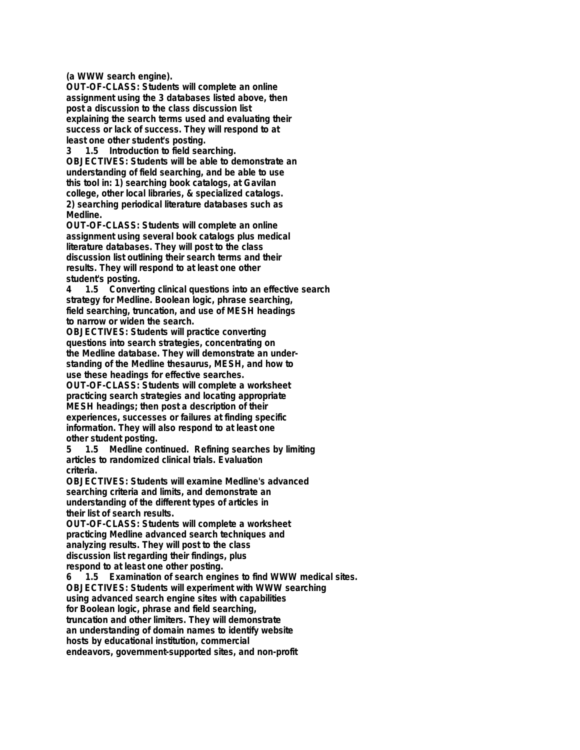**(a WWW search engine).**

**OUT-OF-CLASS: Students will complete an online assignment using the 3 databases listed above, then post a discussion to the class discussion list explaining the search terms used and evaluating their success or lack of success. They will respond to at least one other student's posting.**

**3 1.5 Introduction to field searching. OBJECTIVES: Students will be able to demonstrate an understanding of field searching, and be able to use this tool in: 1) searching book catalogs, at Gavilan college, other local libraries, & specialized catalogs. 2) searching periodical literature databases such as Medline.**

**OUT-OF-CLASS: Students will complete an online assignment using several book catalogs plus medical literature databases. They will post to the class discussion list outlining their search terms and their results. They will respond to at least one other student's posting.**

**4 1.5 Converting clinical questions into an effective search strategy for Medline. Boolean logic, phrase searching, field searching, truncation, and use of MESH headings to narrow or widen the search.**

**OBJECTIVES: Students will practice converting questions into search strategies, concentrating on the Medline database. They will demonstrate an understanding of the Medline thesaurus, MESH, and how to use these headings for effective searches.**

**OUT-OF-CLASS: Students will complete a worksheet practicing search strategies and locating appropriate MESH headings; then post a description of their experiences, successes or failures at finding specific information. They will also respond to at least one other student posting.**

**5 1.5 Medline continued. Refining searches by limiting articles to randomized clinical trials. Evaluation criteria.**

**OBJECTIVES: Students will examine Medline's advanced searching criteria and limits, and demonstrate an understanding of the different types of articles in their list of search results.**

**OUT-OF-CLASS: Students will complete a worksheet practicing Medline advanced search techniques and analyzing results. They will post to the class discussion list regarding their findings, plus respond to at least one other posting.**

**6 1.5 Examination of search engines to find WWW medical sites. OBJECTIVES: Students will experiment with WWW searching using advanced search engine sites with capabilities for Boolean logic, phrase and field searching, truncation and other limiters. They will demonstrate an understanding of domain names to identify website hosts by educational institution, commercial endeavors, government-supported sites, and non-profit**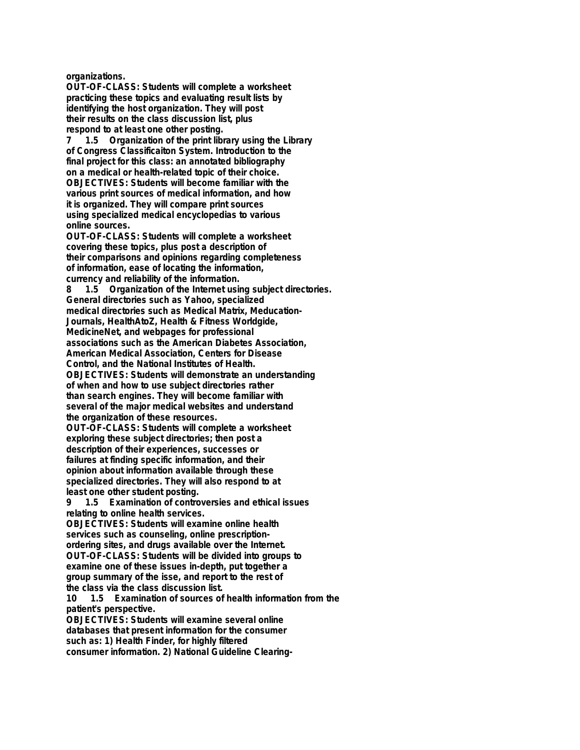**organizations.**

**OUT-OF-CLASS: Students will complete a worksheet practicing these topics and evaluating result lists by identifying the host organization. They will post their results on the class discussion list, plus respond to at least one other posting.**

**7 1.5 Organization of the print library using the Library of Congress Classificaiton System. Introduction to the final project for this class: an annotated bibliography on a medical or health-related topic of their choice. OBJECTIVES: Students will become familiar with the various print sources of medical information, and how it is organized. They will compare print sources using specialized medical encyclopedias to various online sources.**

**OUT-OF-CLASS: Students will complete a worksheet covering these topics, plus post a description of their comparisons and opinions regarding completeness of information, ease of locating the information, currency and reliability of the information.**

**8 1.5 Organization of the Internet using subject directories. General directories such as Yahoo, specialized medical directories such as Medical Matrix, Meducation-Journals, HealthAtoZ, Health & Fitness Worldgide, MedicineNet, and webpages for professional**

**associations such as the American Diabetes Association, American Medical Association, Centers for Disease**

**Control, and the National Institutes of Health.**

**OBJECTIVES: Students will demonstrate an understanding of when and how to use subject directories rather than search engines. They will become familiar with several of the major medical websites and understand the organization of these resources.**

**OUT-OF-CLASS: Students will complete a worksheet exploring these subject directories; then post a description of their experiences, successes or failures at finding specific information, and their opinion about information available through these specialized directories. They will also respond to at least one other student posting.**

**9 1.5 Examination of controversies and ethical issues relating to online health services.**

**OBJECTIVES: Students will examine online health services such as counseling, online prescriptionordering sites, and drugs available over the Internet. OUT-OF-CLASS: Students will be divided into groups to examine one of these issues in-depth, put together a group summary of the isse, and report to the rest of the class via the class discussion list.**

**10 1.5 Examination of sources of health information from the patient's perspective.**

**OBJECTIVES: Students will examine several online databases that present information for the consumer such as: 1) Health Finder, for highly filtered consumer information. 2) National Guideline Clearing-**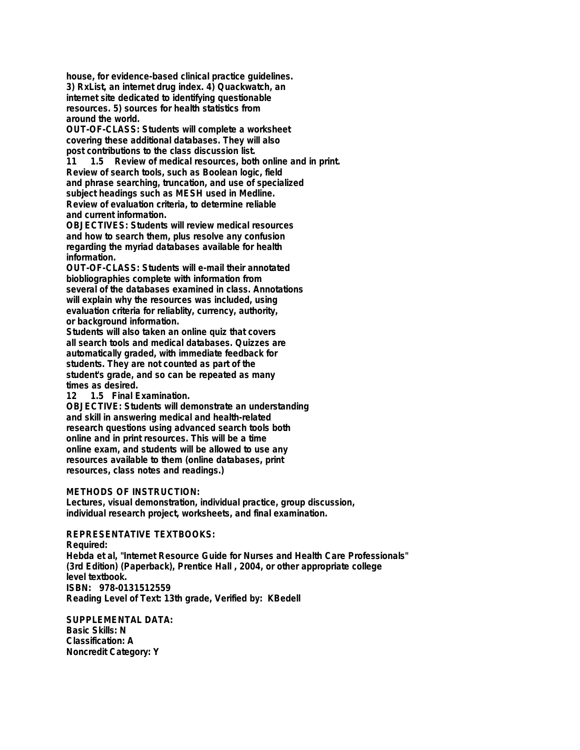**house, for evidence-based clinical practice guidelines. 3) RxList, an internet drug index. 4) Quackwatch, an internet site dedicated to identifying questionable resources. 5) sources for health statistics from around the world.**

**OUT-OF-CLASS: Students will complete a worksheet covering these additional databases. They will also post contributions to the class discussion list.**

**11 1.5 Review of medical resources, both online and in print. Review of search tools, such as Boolean logic, field and phrase searching, truncation, and use of specialized subject headings such as MESH used in Medline. Review of evaluation criteria, to determine reliable and current information.**

**OBJECTIVES: Students will review medical resources and how to search them, plus resolve any confusion regarding the myriad databases available for health information.**

**OUT-OF-CLASS: Students will e-mail their annotated biobliographies complete with information from several of the databases examined in class. Annotations will explain why the resources was included, using evaluation criteria for reliablity, currency, authority, or background information.**

**Students will also taken an online quiz that covers all search tools and medical databases. Quizzes are automatically graded, with immediate feedback for students. They are not counted as part of the student's grade, and so can be repeated as many times as desired.**

1.5 Final Examination.

**OBJECTIVE: Students will demonstrate an understanding and skill in answering medical and health-related research questions using advanced search tools both online and in print resources. This will be a time online exam, and students will be allowed to use any resources available to them (online databases, print resources, class notes and readings.)**

### **METHODS OF INSTRUCTION:**

**Lectures, visual demonstration, individual practice, group discussion, individual research project, worksheets, and final examination.**

## **REPRESENTATIVE TEXTBOOKS:**

**Required: Hebda et al, "Internet Resource Guide for Nurses and Health Care Professionals" (3rd Edition) (Paperback), Prentice Hall , 2004, or other appropriate college level textbook. ISBN: 978-0131512559 Reading Level of Text: 13th grade, Verified by: KBedell**

**SUPPLEMENTAL DATA: Basic Skills: N Classification: A Noncredit Category: Y**